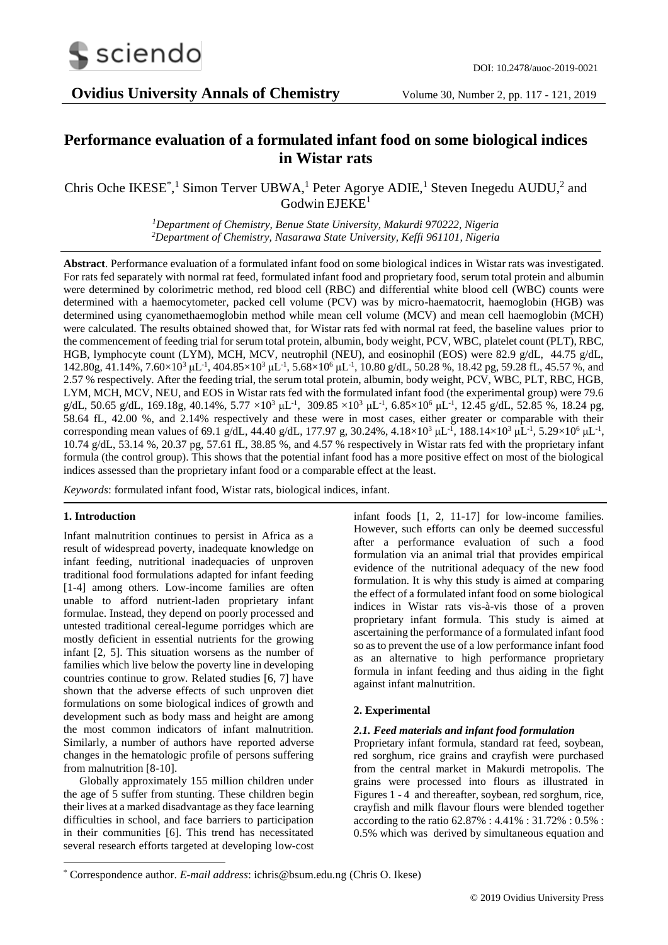

# **Performance evaluation of a formulated infant food on some biological indices in Wistar rats**

Chris Oche IKESE<sup>\*</sup>,<sup>1</sup> Simon Terver UBWA,<sup>1</sup> Peter Agorye ADIE,<sup>1</sup> Steven Inegedu AUDU,<sup>2</sup> and  $Godwin EJEKE<sup>1</sup>$ 

> *<sup>1</sup>Department of Chemistry, Benue State University, Makurdi 970222, Nigeria <sup>2</sup>Department of Chemistry, Nasarawa State University, Keffi 961101, Nigeria*

**Abstract**. Performance evaluation of a formulated infant food on some biological indices in Wistar rats was investigated. For rats fed separately with normal rat feed, formulated infant food and proprietary food, serum total protein and albumin were determined by colorimetric method, red blood cell (RBC) and differential white blood cell (WBC) counts were determined with a haemocytometer, packed cell volume (PCV) was by micro-haematocrit, haemoglobin (HGB) was determined using cyanomethaemoglobin method while mean cell volume (MCV) and mean cell haemoglobin (MCH) were calculated. The results obtained showed that, for Wistar rats fed with normal rat feed, the baseline values prior to the commencement of feeding trial for serum total protein, albumin, body weight, PCV, WBC, platelet count (PLT), RBC, HGB, lymphocyte count (LYM), MCH, MCV, neutrophil (NEU), and eosinophil (EOS) were 82.9 g/dL, 44.75 g/dL, 142.80g, 41.14%, 7.60×10<sup>3</sup> μL<sup>-1</sup>, 404.85×10<sup>3</sup> μL<sup>-1</sup>, 5.68×10<sup>6</sup> μL<sup>-1</sup>, 10.80 g/dL, 50.28 %, 18.42 pg, 59.28 fL, 45.57 %, and 2.57 % respectively. After the feeding trial, the serum total protein, albumin, body weight, PCV, WBC, PLT, RBC, HGB, LYM, MCH, MCV, NEU, and EOS in Wistar rats fed with the formulated infant food (the experimental group) were 79.6 g/dL, 50.65 g/dL, 169.18g, 40.14%, 5.77  $\times 10^{3}$  μL<sup>-1</sup>, 309.85  $\times 10^{3}$  μL<sup>-1</sup>, 6.85 $\times 10^{6}$  μL<sup>-1</sup>, 12.45 g/dL, 52.85 %, 18.24 pg, 58.64 fL, 42.00 %, and 2.14% respectively and these were in most cases, either greater or comparable with their corresponding mean values of 69.1 g/dL, 44.40 g/dL, 177.97 g, 30.24%, 4.18×10<sup>3</sup> µL<sup>-1</sup>, 188.14×10<sup>3</sup> µL<sup>-1</sup>, 5.29×10<sup>6</sup> µL<sup>-1</sup>, 10.74 g/dL, 53.14 %, 20.37 pg, 57.61 fL, 38.85 %, and 4.57 % respectively in Wistar rats fed with the proprietary infant formula (the control group). This shows that the potential infant food has a more positive effect on most of the biological indices assessed than the proprietary infant food or a comparable effect at the least.

*Keywords*: formulated infant food, Wistar rats, biological indices, infant.

## **1. Introduction**

-

Infant malnutrition continues to persist in Africa as a result of widespread poverty, inadequate knowledge on infant feeding, nutritional inadequacies of unproven traditional food formulations adapted for infant feeding [1-4] among others. Low-income families are often unable to afford nutrient-laden proprietary infant formulae. Instead, they depend on poorly processed and untested traditional cereal-legume porridges which are mostly deficient in essential nutrients for the growing infant [2, 5]. This situation worsens as the number of families which live below the poverty line in developing countries continue to grow. Related studies [6, 7] have shown that the adverse effects of such unproven diet formulations on some biological indices of growth and development such as body mass and height are among the most common indicators of infant malnutrition. Similarly, a number of authors have reported adverse changes in the hematologic profile of persons suffering from malnutrition [8-10].

Globally approximately 155 million children under the age of 5 suffer from stunting. These children begin their lives at a marked disadvantage as they face learning difficulties in school, and face barriers to participation in their communities [6]. This trend has necessitated several research efforts targeted at developing low-cost infant foods [1, 2, 11-17] for low-income families. However, such efforts can only be deemed successful after a performance evaluation of such a food formulation via an animal trial that provides empirical evidence of the nutritional adequacy of the new food formulation. It is why this study is aimed at comparing the effect of a formulated infant food on some biological indices in Wistar rats vis-à-vis those of a proven proprietary infant formula. This study is aimed at ascertaining the performance of a formulated infant food so as to prevent the use of a low performance infant food as an alternative to high performance proprietary formula in infant feeding and thus aiding in the fight against infant malnutrition.

## **2. Experimental**

## *2.1. Feed materials and infant food formulation*

Proprietary infant formula, standard rat feed, soybean, red sorghum, rice grains and crayfish were purchased from the central market in Makurdi metropolis. The grains were processed into flours as illustrated in Figures 1 - 4 and thereafter, soybean, red sorghum, rice, crayfish and milk flavour flours were blended together according to the ratio 62.87% : 4.41% : 31.72% : 0.5% : 0.5% which was derived by simultaneous equation and

<sup>\*</sup> Correspondence author. *E-mail address*: ichris@bsum.edu.ng (Chris O. Ikese)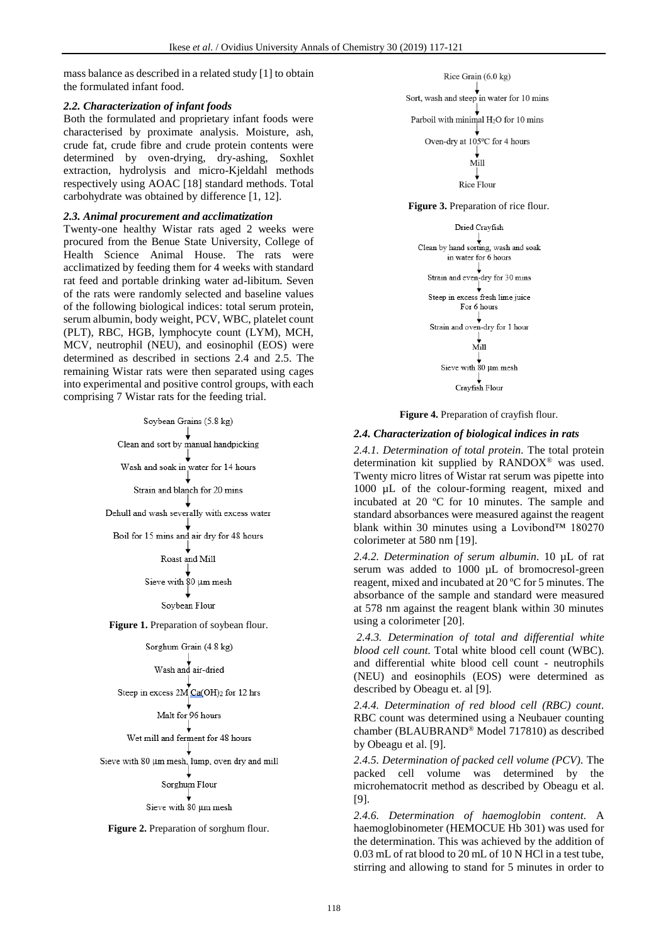mass balance as described in a related study [1] to obtain the formulated infant food.

## *2.2. Characterization of infant foods*

Both the formulated and proprietary infant foods were characterised by proximate analysis. Moisture, ash, crude fat, crude fibre and crude protein contents were determined by oven-drying, dry-ashing, Soxhlet extraction, hydrolysis and micro-Kjeldahl methods respectively using AOAC [18] standard methods. Total carbohydrate was obtained by difference [1, 12].

## *2.3. Animal procurement and acclimatization*

Twenty-one healthy Wistar rats aged 2 weeks were procured from the Benue State University, College of Health Science Animal House. The rats were acclimatized by feeding them for 4 weeks with standard rat feed and portable drinking water ad-libitum. Seven of the rats were randomly selected and baseline values of the following biological indices: total serum protein, serum albumin, body weight, PCV, WBC, platelet count (PLT), RBC, HGB, lymphocyte count (LYM), MCH, MCV, neutrophil (NEU), and eosinophil (EOS) were determined as described in sections 2.4 and 2.5. The remaining Wistar rats were then separated using cages into experimental and positive control groups, with each comprising 7 Wistar rats for the feeding trial.

Soybean Grains (5.8 kg)

Clean and sort by manual handpicking

Wash and soak in water for 14 hours

Strain and blanch for 20 mins

Dehull and wash severally with excess water

Boil for 15 mins and air dry for 48 hours

Roast and Mill

Sieve with 80 um mesh

Soybean Flour

**Figure 1.** Preparation of soybean flour.

Sorghum Grain (4.8 kg)

Wash and air-dried

Steep in excess 2M Ca(OH)2 for 12 hrs

Malt for 96 hours

Wet mill and ferment for 48 hours

Sieve with 80 µm mesh, lump, oven dry and mill

#### Sorghum Flour

Sieve with 80 um mesh

Figure 2. Preparation of sorghum flour.



**Figure 3.** Preparation of rice flour.



**Figure 4.** Preparation of crayfish flour.

## *2.4. Characterization of biological indices in rats*

*2.4.1. Determination of total protein.* The total protein determination kit supplied by RANDOX® was used. Twenty micro litres of Wistar rat serum was pipette into 1000 µL of the colour-forming reagent, mixed and incubated at 20 ºC for 10 minutes. The sample and standard absorbances were measured against the reagent blank within 30 minutes using a Lovibond™ 180270 colorimeter at 580 nm [19].

*2.4.2. Determination of serum albumin.* 10 µL of rat serum was added to 1000 µL of bromocresol-green reagent, mixed and incubated at 20 ºC for 5 minutes. The absorbance of the sample and standard were measured at 578 nm against the reagent blank within 30 minutes using a colorimeter [20].

*2.4.3. Determination of total and differential white blood cell count.* Total white blood cell count (WBC). and differential white blood cell count - neutrophils (NEU) and eosinophils (EOS) were determined as described by Obeagu et. al [9].

*2.4.4. Determination of red blood cell (RBC) count.*  RBC count was determined using a Neubauer counting chamber (BLAUBRAND® Model 717810) as described by Obeagu et al. [9].

*2.4.5. Determination of packed cell volume (PCV).* The packed cell volume was determined by the microhematocrit method as described by Obeagu et al. [9].

*2.4.6. Determination of haemoglobin content.* A haemoglobinometer (HEMOCUE Hb 301) was used for the determination. This was achieved by the addition of 0.03 mL of rat blood to 20 mL of 10 N HCl in a test tube, stirring and allowing to stand for 5 minutes in order to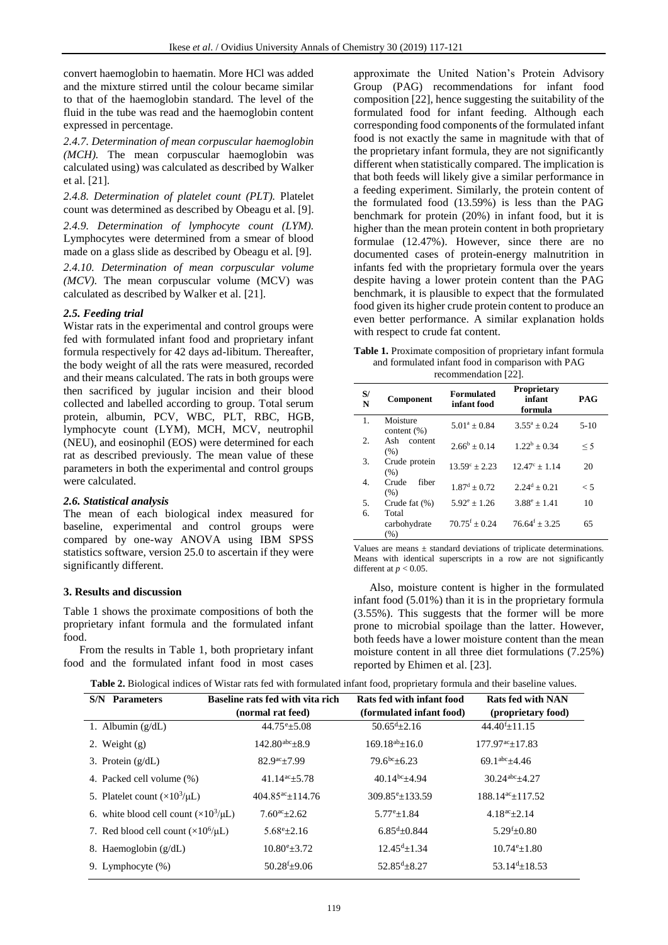convert haemoglobin to haematin. More HCl was added and the mixture stirred until the colour became similar to that of the haemoglobin standard. The level of the fluid in the tube was read and the haemoglobin content expressed in percentage.

*2.4.7. Determination of mean corpuscular haemoglobin (MCH).* The mean corpuscular haemoglobin was calculated using) was calculated as described by Walker et al. [21].

*2.4.8. Determination of platelet count (PLT).* Platelet count was determined as described by Obeagu et al. [9].

*2.4.9. Determination of lymphocyte count (LYM).*  Lymphocytes were determined from a smear of blood made on a glass slide as described by Obeagu et al. [9].

*2.4.10. Determination of mean corpuscular volume (MCV).* The mean corpuscular volume (MCV) was calculated as described by Walker et al. [21].

#### *2.5. Feeding trial*

Wistar rats in the experimental and control groups were fed with formulated infant food and proprietary infant formula respectively for 42 days ad-libitum. Thereafter, the body weight of all the rats were measured, recorded and their means calculated. The rats in both groups were then sacrificed by jugular incision and their blood collected and labelled according to group. Total serum protein, albumin, PCV, WBC, PLT, RBC, HGB, lymphocyte count (LYM), MCH, MCV, neutrophil (NEU), and eosinophil (EOS) were determined for each rat as described previously. The mean value of these parameters in both the experimental and control groups were calculated.

## *2.6. Statistical analysis*

The mean of each biological index measured for baseline, experimental and control groups were compared by one-way ANOVA using IBM SPSS statistics software, version 25.0 to ascertain if they were significantly different.

#### **3. Results and discussion**

Table 1 shows the proximate compositions of both the proprietary infant formula and the formulated infant food.

From the results in Table 1, both proprietary infant food and the formulated infant food in most cases

approximate the United Nation's Protein Advisory Group (PAG) recommendations for infant food composition [22], hence suggesting the suitability of the formulated food for infant feeding. Although each corresponding food components of the formulated infant food is not exactly the same in magnitude with that of the proprietary infant formula, they are not significantly different when statistically compared. The implication is that both feeds will likely give a similar performance in a feeding experiment. Similarly, the protein content of the formulated food (13.59%) is less than the PAG benchmark for protein (20%) in infant food, but it is higher than the mean protein content in both proprietary formulae (12.47%). However, since there are no documented cases of protein-energy malnutrition in infants fed with the proprietary formula over the years despite having a lower protein content than the PAG benchmark, it is plausible to expect that the formulated food given its higher crude protein content to produce an even better performance. A similar explanation holds with respect to crude fat content.

**Table 1.** Proximate composition of proprietary infant formula and formulated infant food in comparison with PAG recommendation [22].

| $\frac{1}{2}$ |                               |                                  |                                         |            |  |  |
|---------------|-------------------------------|----------------------------------|-----------------------------------------|------------|--|--|
| S/<br>N       | Component                     | <b>Formulated</b><br>infant food | <b>Proprietary</b><br>infant<br>formula | <b>PAG</b> |  |  |
| 1.            | Moisture<br>content $(\%)$    | $5.01^a \pm 0.84$                | $3.55^a + 0.24$                         | $5-10$     |  |  |
| 2.            | Ash<br>content<br>(% )        | $2.66^b + 0.14$                  | $1.22^b + 0.34$                         | < 5        |  |  |
| 3.            | Crude protein<br>(% )         | $13.59^{\circ} + 2.23$           | $12.47^{\circ} + 1.14$                  | 20         |  |  |
| 4.            | fiber<br>Crude<br>(% )        | $1.87^d + 0.72$                  | $2.24^d + 0.21$                         | $\leq 5$   |  |  |
| 5.            | Crude fat $(\%)$              | $5.92^e + 1.26$                  | $3.88^e + 1.41$                         | 10         |  |  |
| 6.            | Total<br>carbohydrate<br>(% ) | $70.75^{\rm f} + 0.24$           | $76.64^f + 3.25$                        | 65         |  |  |

Values are means  $\pm$  standard deviations of triplicate determinations. Means with identical superscripts in a row are not significantly different at  $p < 0.05$ .

Also, moisture content is higher in the formulated infant food (5.01%) than it is in the proprietary formula (3.55%). This suggests that the former will be more prone to microbial spoilage than the latter. However, both feeds have a lower moisture content than the mean moisture content in all three diet formulations (7.25%) reported by Ehimen et al. [23].

| Table 2. Biological indices of Wistar rats fed with formulated infant food, proprietary formula and their baseline values. |  |
|----------------------------------------------------------------------------------------------------------------------------|--|
|----------------------------------------------------------------------------------------------------------------------------|--|

| <b>S/N</b> Parameters                           | Baseline rats fed with vita rich    | Rats fed with infant food | <b>Rats fed with NAN</b>        |
|-------------------------------------------------|-------------------------------------|---------------------------|---------------------------------|
|                                                 | (normal rat feed)                   | (formulated infant food)  | (proprietary food)              |
| 1. Albumin $(g/dL)$                             | $44.75^{\circ}$ ±5.08               | $50.65^{\text{d}}$ ±2.16  | $44.40 \pm 11.15$               |
| 2. Weight $(g)$                                 | $142.80^{abc} + 8.9$                | $169.18^{ab} + 16.0$      | $177.97^{\text{ac}} \pm 17.83$  |
| 3. Protein $(g/dL)$                             | $82.9^{ac} + 7.99$                  | $79.6^{bc} + 6.23$        | $69.1^{abc} + 4.46$             |
| 4. Packed cell volume (%)                       | $41.14$ <sup>ac</sup> +5.78         | $40.14^{bc} + 4.94$       | $30.24^{abc} + 4.27$            |
| 5. Platelet count $(\times 10^3/\mu L)$         | $404.85$ <sup>ac</sup> $\pm$ 114.76 | $309.85^{\circ}$ ±133.59  | $188.14^{\text{ac}} \pm 117.52$ |
| 6. white blood cell count $(\times 10^3/\mu L)$ | $7.60^{ac}+2.62$                    | $5.77^{\rm e}{\pm}1.84$   | $4.18^{\text{ac}}+2.14$         |
| 7. Red blood cell count $(\times 10^6/\mu L)$   | $5.68^{\rm e}{\pm}2.16$             | $6.85^{d}$ ±0.844         | $5.29^{f} \pm 0.80$             |
| 8. Haemoglobin $(g/dL)$                         | $10.80^{\circ}$ ±3.72               | $12.45^{d}+1.34$          | $10.74^{\circ}$ ±1.80           |
| 9. Lymphocyte (%)                               | $50.28^{f} \pm 9.06$                | $52.85^{d} \pm 8.27$      | $53.14d\pm 18.53$               |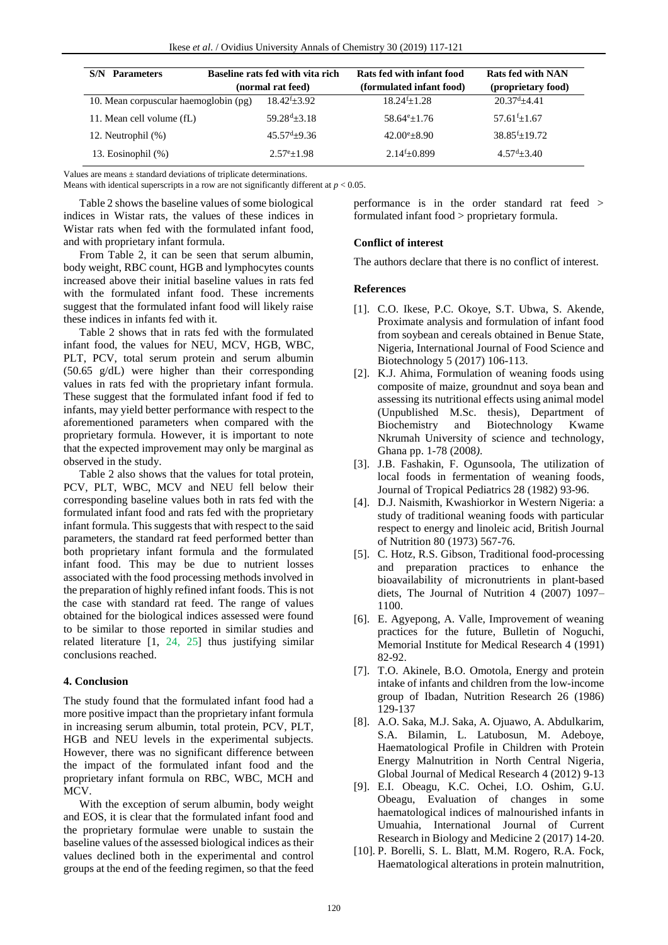| S/N<br><b>Parameters</b>              | Baseline rats fed with vita rich | Rats fed with infant food | Rats fed with NAN  |
|---------------------------------------|----------------------------------|---------------------------|--------------------|
|                                       | (normal rat feed)                | (formulated infant food)  | (proprietary food) |
| 10. Mean corpuscular haemoglobin (pg) | $18.42^{f}+3.92$                 | $18.24^{f}+1.28$          | $20.37d + 4.41$    |
| 11. Mean cell volume (fL)             | $59.28^{d} \pm 3.18$             | $58.64^{\circ}+1.76$      | $57.61^{f}$ +1.67  |
| 12. Neutrophil (%)                    | $45.57^{\rm d}$ ±9.36            | $42.00^{\circ}+8.90$      | $38.85^{f}+19.72$  |
| 13. Eosinophil (%)                    | $2.57^{\circ}+1.98$              | $2.14^{f}+0.899$          | $4.57^{d} + 3.40$  |

Values are means  $\pm$  standard deviations of triplicate determinations.

Means with identical superscripts in a row are not significantly different at  $p < 0.05$ .

Table 2 shows the baseline values of some biological indices in Wistar rats, the values of these indices in Wistar rats when fed with the formulated infant food, and with proprietary infant formula.

From Table 2, it can be seen that serum albumin, body weight, RBC count, HGB and lymphocytes counts increased above their initial baseline values in rats fed with the formulated infant food. These increments suggest that the formulated infant food will likely raise these indices in infants fed with it.

Table 2 shows that in rats fed with the formulated infant food, the values for NEU, MCV, HGB, WBC, PLT, PCV, total serum protein and serum albumin (50.65 g/dL) were higher than their corresponding values in rats fed with the proprietary infant formula. These suggest that the formulated infant food if fed to infants, may yield better performance with respect to the aforementioned parameters when compared with the proprietary formula. However, it is important to note that the expected improvement may only be marginal as observed in the study.

Table 2 also shows that the values for total protein, PCV, PLT, WBC, MCV and NEU fell below their corresponding baseline values both in rats fed with the formulated infant food and rats fed with the proprietary infant formula. This suggests that with respect to the said parameters, the standard rat feed performed better than both proprietary infant formula and the formulated infant food. This may be due to nutrient losses associated with the food processing methods involved in the preparation of highly refined infant foods. This is not the case with standard rat feed. The range of values obtained for the biological indices assessed were found to be similar to those reported in similar studies and related literature [1, 24, 25] thus justifying similar conclusions reached.

### **4. Conclusion**

The study found that the formulated infant food had a more positive impact than the proprietary infant formula in increasing serum albumin, total protein, PCV, PLT, HGB and NEU levels in the experimental subjects. However, there was no significant difference between the impact of the formulated infant food and the proprietary infant formula on RBC, WBC, MCH and MCV.

With the exception of serum albumin, body weight and EOS, it is clear that the formulated infant food and the proprietary formulae were unable to sustain the baseline values of the assessed biological indices as their values declined both in the experimental and control groups at the end of the feeding regimen, so that the feed

performance is in the order standard rat feed > formulated infant food > proprietary formula.

#### **Conflict of interest**

The authors declare that there is no conflict of interest.

#### **References**

- [1]. C.O. Ikese, P.C. Okoye, S.T. Ubwa, S. Akende, Proximate analysis and formulation of infant food from soybean and cereals obtained in Benue State, Nigeria, International Journal of Food Science and Biotechnology 5 (2017) 106-113.
- [2]. K.J. Ahima, Formulation of weaning foods using composite of maize, groundnut and soya bean and assessing its nutritional effects using animal model (Unpublished M.Sc. thesis), Department of Biochemistry and Biotechnology Kwame Nkrumah University of science and technology, Ghana pp. 1-78 (2008*)*.
- [3]. J.B. Fashakin, F. Ogunsoola, The utilization of local foods in fermentation of weaning foods, Journal of Tropical Pediatrics 28 (1982) 93-96.
- [4]. D.J. Naismith, Kwashiorkor in Western Nigeria: a study of traditional weaning foods with particular respect to energy and linoleic acid, British Journal of Nutrition 80 (1973) 567-76.
- [5]. C. Hotz, R.S. Gibson, Traditional food-processing and preparation practices to enhance the bioavailability of micronutrients in plant-based diets, The Journal of Nutrition 4 (2007) 1097– 1100.
- [6]. E. Agyepong, A. Valle, Improvement of weaning practices for the future, Bulletin of Noguchi, Memorial Institute for Medical Research 4 (1991) 82-92.
- [7]. T.O. Akinele, B.O. Omotola, Energy and protein intake of infants and children from the low-income group of Ibadan, Nutrition Research 26 (1986) 129-137
- [8]. A.O. Saka, M.J. Saka, A. Ojuawo, A. Abdulkarim, S.A. Bilamin, L. Latubosun, M. Adeboye, Haematological Profile in Children with Protein Energy Malnutrition in North Central Nigeria, Global Journal of Medical Research 4 (2012) 9-13
- [9]. E.I. Obeagu, K.C. Ochei, I.O. Oshim, G.U. Obeagu, Evaluation of changes in some haematological indices of malnourished infants in Umuahia, International Journal of Current Research in Biology and Medicine 2 (2017) 14-20.
- [10]. P. Borelli, S. L. Blatt, M.M. Rogero, R.A. Fock, Haematological alterations in protein malnutrition,